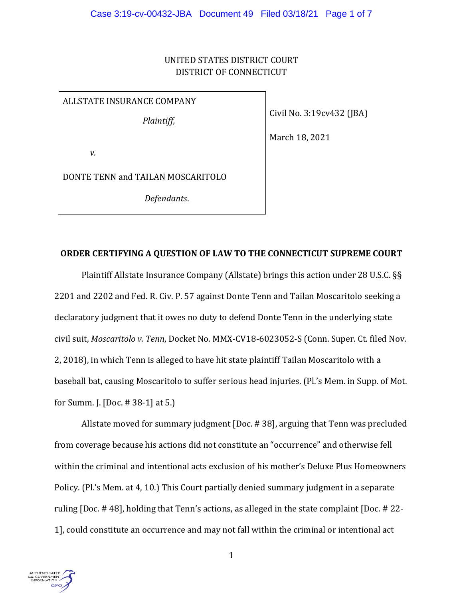# UNITED STATES DISTRICT COURT DISTRICT OF CONNECTICUT

ALLSTATE INSURANCE COMPANY

*Plaintiff,*

Civil No. 3:19cv432 (JBA)

March 18, 2021

*v.*

DONTE TENN and TAILAN MOSCARITOLO

*Defendants*.

# **ORDER CERTIFYING A QUESTION OF LAW TO THE CONNECTICUT SUPREME COURT**

Plaintiff Allstate Insurance Company (Allstate) brings this action under 28 U.S.C. §§ 2201 and 2202 and Fed. R. Civ. P. 57 against Donte Tenn and Tailan Moscaritolo seeking a declaratory judgment that it owes no duty to defend Donte Tenn in the underlying state civil suit, *Moscaritolo v. Tenn*, Docket No. MMX-CV18-6023052-S (Conn. Super. Ct. filed Nov. 2, 2018), in which Tenn is alleged to have hit state plaintiff Tailan Moscaritolo with a baseball bat, causing Moscaritolo to suffer serious head injuries. (Pl.'s Mem. in Supp. of Mot. for Summ. J. [Doc. # 38-1] at 5.)

Allstate moved for summary judgment [Doc. # 38], arguing that Tenn was precluded from coverage because his actions did not constitute an "occurrence" and otherwise fell within the criminal and intentional acts exclusion of his mother's Deluxe Plus Homeowners Policy. (Pl.'s Mem. at 4, 10.) This Court partially denied summary judgment in a separate ruling [Doc. # 48], holding that Tenn's actions, as alleged in the state complaint [Doc. # 22- 1], could constitute an occurrence and may not fall within the criminal or intentional act

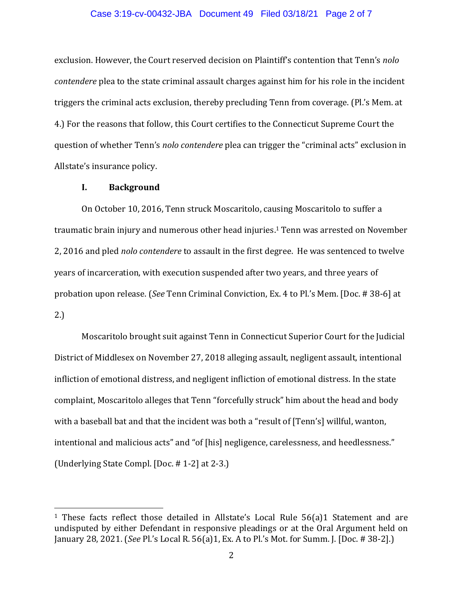## Case 3:19-cv-00432-JBA Document 49 Filed 03/18/21 Page 2 of 7

exclusion. However, the Court reserved decision on Plaintiff's contention that Tenn's *nolo contendere* plea to the state criminal assault charges against him for his role in the incident triggers the criminal acts exclusion, thereby precluding Tenn from coverage. (Pl.'s Mem. at 4.) For the reasons that follow, this Court certifies to the Connecticut Supreme Court the question of whether Tenn's *nolo contendere* plea can trigger the "criminal acts" exclusion in Allstate's insurance policy.

# **I. Background**

On October 10, 2016, Tenn struck Moscaritolo, causing Moscaritolo to suffer a traumatic brain injury and numerous other head injuries. <sup>1</sup> Tenn was arrested on November 2, 2016 and pled *nolo contendere* to assault in the first degree. He was sentenced to twelve years of incarceration, with execution suspended after two years, and three years of probation upon release. (*See* Tenn Criminal Conviction, Ex. 4 to Pl.'s Mem. [Doc. # 38-6] at 2.)

Moscaritolo brought suit against Tenn in Connecticut Superior Court for the Judicial District of Middlesex on November 27, 2018 alleging assault, negligent assault, intentional infliction of emotional distress, and negligent infliction of emotional distress. In the state complaint, Moscaritolo alleges that Tenn "forcefully struck" him about the head and body with a baseball bat and that the incident was both a "result of [Tenn's] willful, wanton, intentional and malicious acts" and "of [his] negligence, carelessness, and heedlessness." (Underlying State Compl. [Doc. # 1-2] at 2-3.)

<sup>&</sup>lt;sup>1</sup> These facts reflect those detailed in Allstate's Local Rule 56(a)1 Statement and are undisputed by either Defendant in responsive pleadings or at the Oral Argument held on January 28, 2021. (*See* Pl.'s Local R. 56(a)1, Ex. A to Pl.'s Mot. for Summ. J. [Doc. # 38-2].)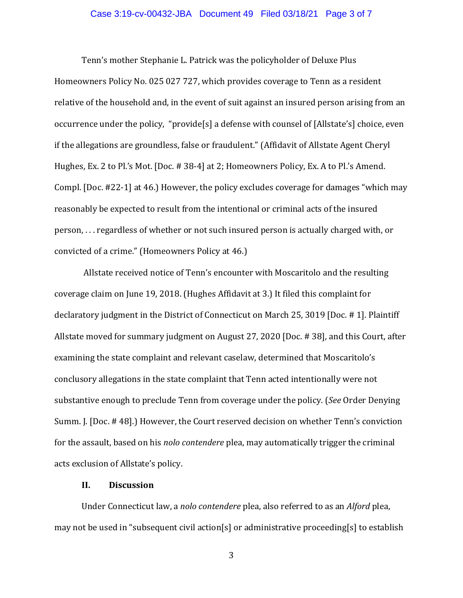## Case 3:19-cv-00432-JBA Document 49 Filed 03/18/21 Page 3 of 7

Tenn's mother Stephanie L. Patrick was the policyholder of Deluxe Plus Homeowners Policy No. 025 027 727, which provides coverage to Tenn as a resident relative of the household and, in the event of suit against an insured person arising from an occurrence under the policy, "provide[s] a defense with counsel of [Allstate's] choice, even if the allegations are groundless, false or fraudulent." (Affidavit of Allstate Agent Cheryl Hughes, Ex. 2 to Pl.'s Mot. [Doc. # 38-4] at 2; Homeowners Policy, Ex. A to Pl.'s Amend. Compl. [Doc. #22-1] at 46.) However, the policy excludes coverage for damages "which may reasonably be expected to result from the intentional or criminal acts of the insured person, . . . regardless of whether or not such insured person is actually charged with, or convicted of a crime." (Homeowners Policy at 46.)

Allstate received notice of Tenn's encounter with Moscaritolo and the resulting coverage claim on June 19, 2018. (Hughes Affidavit at 3.) It filed this complaint for declaratory judgment in the District of Connecticut on March 25, 3019 [Doc. # 1]. Plaintiff Allstate moved for summary judgment on August 27, 2020 [Doc. # 38], and this Court, after examining the state complaint and relevant caselaw, determined that Moscaritolo's conclusory allegations in the state complaint that Tenn acted intentionally were not substantive enough to preclude Tenn from coverage under the policy. (*See* Order Denying Summ. J. [Doc. # 48].) However, the Court reserved decision on whether Tenn's conviction for the assault, based on his *nolo contendere* plea, may automatically trigger the criminal acts exclusion of Allstate's policy.

# **II. Discussion**

Under Connecticut law, a *nolo contendere* plea, also referred to as an *Alford* plea, may not be used in "subsequent civil action[s] or administrative proceeding[s] to establish

3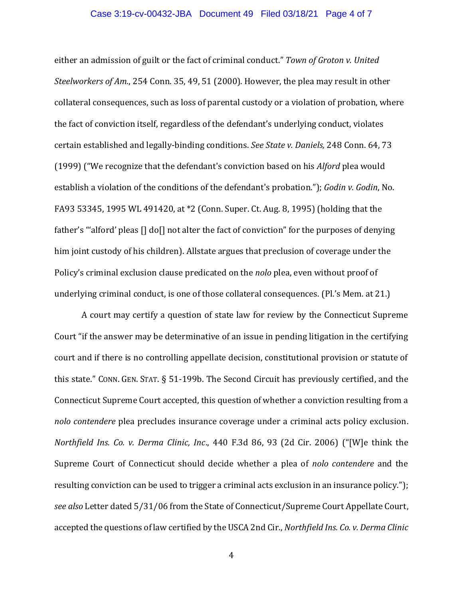## Case 3:19-cv-00432-JBA Document 49 Filed 03/18/21 Page 4 of 7

either an admission of guilt or the fact of criminal conduct." *Town of Groton v. United Steelworkers of Am.*, 254 Conn. 35, 49, 51 (2000). However, the plea may result in other collateral consequences, such as loss of parental custody or a violation of probation, where the fact of conviction itself, regardless of the defendant's underlying conduct, violates certain established and legally-binding conditions. *See State v. Daniels,* 248 Conn. 64, 73 (1999) ("We recognize that the defendant's conviction based on his *Alford* plea would establish a violation of the conditions of the defendant's probation."); *Godin v. Godin*, No. FA93 53345, 1995 WL 491420, at \*2 (Conn. Super. Ct. Aug. 8, 1995) (holding that the father's "'alford' pleas [] do[] not alter the fact of conviction" for the purposes of denying him joint custody of his children). Allstate argues that preclusion of coverage under the Policy's criminal exclusion clause predicated on the *nolo* plea, even without proof of underlying criminal conduct, is one of those collateral consequences. (Pl.'s Mem. at 21.)

A court may certify a question of state law for review by the Connecticut Supreme Court "if the answer may be determinative of an issue in pending litigation in the certifying court and if there is no controlling appellate decision, constitutional provision or statute of this state." CONN. GEN. STAT. § 51-199b. The Second Circuit has previously certified, and the Connecticut Supreme Court accepted, this question of whether a conviction resulting from a *nolo contendere* plea precludes insurance coverage under a criminal acts policy exclusion. *Northfield Ins. Co. v. Derma Clinic, Inc*., 440 F.3d 86, 93 (2d Cir. 2006) ("[W]e think the Supreme Court of Connecticut should decide whether a plea of *nolo contendere* and the resulting conviction can be used to trigger a criminal acts exclusion in an insurance policy."); *see also* Letter dated 5/31/06 from the State of Connecticut/Supreme Court Appellate Court, accepted the questions of law certified by the USCA 2nd Cir., *Northfield Ins. Co. v. Derma Clinic*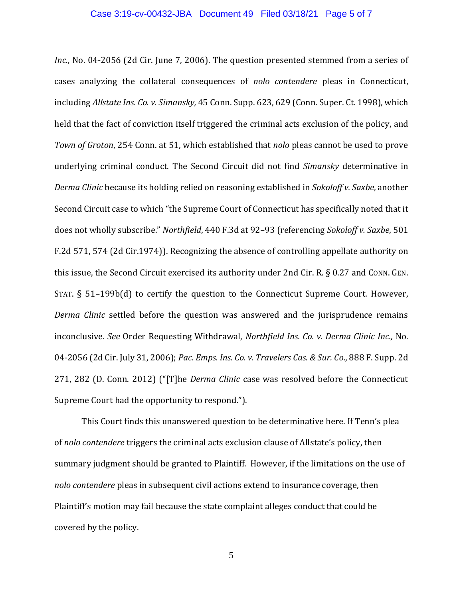## Case 3:19-cv-00432-JBA Document 49 Filed 03/18/21 Page 5 of 7

*Inc.*, No. 04-2056 (2d Cir. June 7, 2006). The question presented stemmed from a series of cases analyzing the collateral consequences of *nolo contendere* pleas in Connecticut, including *Allstate Ins. Co. v. Simansky,* 45 Conn.Supp. 623, 629 (Conn. Super. Ct. 1998), which held that the fact of conviction itself triggered the criminal acts exclusion of the policy, and *Town of Groton*, 254 Conn. at 51, which established that *nolo* pleas cannot be used to prove underlying criminal conduct. The Second Circuit did not find *Simansky* determinative in *Derma Clinic* because its holding relied on reasoning established in *Sokoloff v. Saxbe*, another Second Circuit case to which "the Supreme Court of Connecticut has specifically noted that it does not wholly subscribe." *Northfield*, 440 F.3d at 92–93 (referencing *Sokoloff v. Saxbe*, 501 F.2d 571, 574 (2d Cir.1974)). Recognizing the absence of controlling appellate authority on this issue, the Second Circuit exercised its authority under 2nd Cir. R. § 0.27 and CONN. GEN. STAT. § 51–199b(d) to certify the question to the Connecticut Supreme Court. However, *Derma Clinic* settled before the question was answered and the jurisprudence remains inconclusive. *See* Order Requesting Withdrawal, *Northfield Ins. Co. v. Derma Clinic Inc.,* No. 04-2056 (2d Cir. July 31, 2006); *Pac. Emps. Ins. Co. v. Travelers Cas. & Sur. Co*., 888 F. Supp. 2d 271, 282 (D. Conn. 2012) ("[T]he *Derma Clinic* case was resolved before the Connecticut Supreme Court had the opportunity to respond.").

This Court finds this unanswered question to be determinative here. If Tenn's plea of *nolo contendere* triggers the criminal acts exclusion clause of Allstate's policy, then summary judgment should be granted to Plaintiff. However, if the limitations on the use of *nolo contendere* pleas in subsequent civil actions extend to insurance coverage, then Plaintiff's motion may fail because the state complaint alleges conduct that could be covered by the policy.

5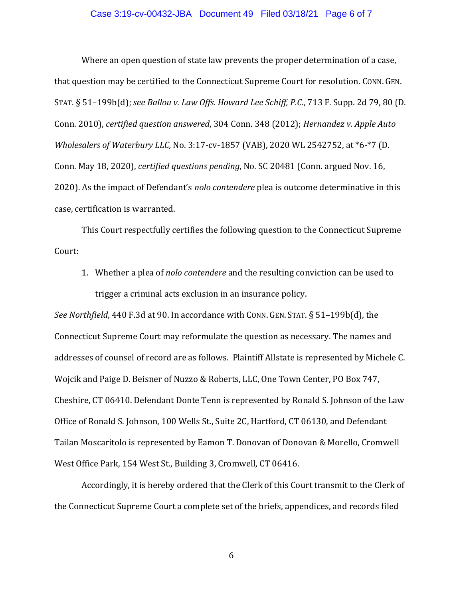## Case 3:19-cv-00432-JBA Document 49 Filed 03/18/21 Page 6 of 7

Where an open question of state law prevents the proper determination of a case, that question may be certified to the Connecticut Supreme Court for resolution. CONN. GEN. STAT. § 51–199b(d); *see Ballou v. Law Offs. Howard Lee Schiff, P.C*., 713 F. Supp. 2d 79, 80 (D. Conn. 2010), *certified question answered*, 304 Conn. 348 (2012); *Hernandez v. Apple Auto Wholesalers of Waterbury LLC,* No. 3:17-cv-1857 (VAB), 2020 WL 2542752, at \*6-\*7 (D. Conn. May 18, 2020), *certified questions pending*, No. SC 20481 (Conn. argued Nov. 16, 2020). As the impact of Defendant's *nolo contendere* plea is outcome determinative in this case, certification is warranted.

This Court respectfully certifies the following question to the Connecticut Supreme Court:

1. Whether a plea of *nolo contendere* and the resulting conviction can be used to trigger a criminal acts exclusion in an insurance policy.

*See Northfield*, 440 F.3d at 90. In accordance with CONN. GEN.STAT. § 51–199b(d), the Connecticut Supreme Court may reformulate the question as necessary. The names and addresses of counsel of record are as follows. Plaintiff Allstate is represented by Michele C. Wojcik and Paige D. Beisner of Nuzzo & Roberts, LLC, One Town Center, PO Box 747, Cheshire, CT 06410. Defendant Donte Tenn is represented by Ronald S. Johnson of the Law Office of Ronald S. Johnson, 100 Wells St., Suite 2C, Hartford, CT 06130, and Defendant Tailan Moscaritolo is represented by Eamon T. Donovan of Donovan & Morello, Cromwell West Office Park, 154 West St., Building 3, Cromwell, CT 06416.

Accordingly, it is hereby ordered that the Clerk of this Court transmit to the Clerk of the Connecticut Supreme Court a complete set of the briefs, appendices, and records filed

6